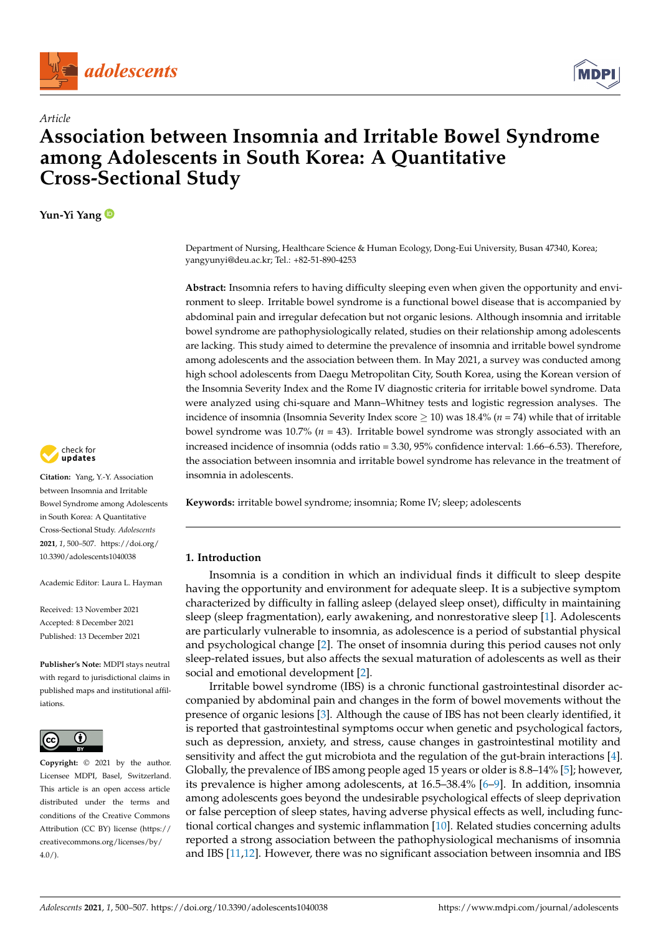



# **Association between Insomnia and Irritable Bowel Syndrome among Adolescents in South Korea: A Quantitative Cross-Sectional Study**

**Yun-Yi Yang**

*Article*

Department of Nursing, Healthcare Science & Human Ecology, Dong-Eui University, Busan 47340, Korea; yangyunyi@deu.ac.kr; Tel.: +82-51-890-4253

**Abstract:** Insomnia refers to having difficulty sleeping even when given the opportunity and environment to sleep. Irritable bowel syndrome is a functional bowel disease that is accompanied by abdominal pain and irregular defecation but not organic lesions. Although insomnia and irritable bowel syndrome are pathophysiologically related, studies on their relationship among adolescents are lacking. This study aimed to determine the prevalence of insomnia and irritable bowel syndrome among adolescents and the association between them. In May 2021, a survey was conducted among high school adolescents from Daegu Metropolitan City, South Korea, using the Korean version of the Insomnia Severity Index and the Rome IV diagnostic criteria for irritable bowel syndrome. Data were analyzed using chi-square and Mann–Whitney tests and logistic regression analyses. The incidence of insomnia (Insomnia Severity Index score ≥ 10) was 18.4% (*n* = 74) while that of irritable bowel syndrome was 10.7% (*n* = 43). Irritable bowel syndrome was strongly associated with an increased incidence of insomnia (odds ratio = 3.30, 95% confidence interval: 1.66–6.53). Therefore, the association between insomnia and irritable bowel syndrome has relevance in the treatment of insomnia in adolescents.

**Keywords:** irritable bowel syndrome; insomnia; Rome IV; sleep; adolescents

# **1. Introduction**

Insomnia is a condition in which an individual finds it difficult to sleep despite having the opportunity and environment for adequate sleep. It is a subjective symptom characterized by difficulty in falling asleep (delayed sleep onset), difficulty in maintaining sleep (sleep fragmentation), early awakening, and nonrestorative sleep [\[1\]](#page-6-0). Adolescents are particularly vulnerable to insomnia, as adolescence is a period of substantial physical and psychological change [\[2\]](#page-6-1). The onset of insomnia during this period causes not only sleep-related issues, but also affects the sexual maturation of adolescents as well as their social and emotional development [\[2\]](#page-6-1).

Irritable bowel syndrome (IBS) is a chronic functional gastrointestinal disorder accompanied by abdominal pain and changes in the form of bowel movements without the presence of organic lesions [\[3\]](#page-6-2). Although the cause of IBS has not been clearly identified, it is reported that gastrointestinal symptoms occur when genetic and psychological factors, such as depression, anxiety, and stress, cause changes in gastrointestinal motility and sensitivity and affect the gut microbiota and the regulation of the gut-brain interactions [\[4\]](#page-6-3). Globally, the prevalence of IBS among people aged 15 years or older is 8.8–14% [\[5\]](#page-6-4); however, its prevalence is higher among adolescents, at 16.5–38.4% [\[6](#page-6-5)[–9\]](#page-6-6). In addition, insomnia among adolescents goes beyond the undesirable psychological effects of sleep deprivation or false perception of sleep states, having adverse physical effects as well, including functional cortical changes and systemic inflammation [\[10\]](#page-6-7). Related studies concerning adults reported a strong association between the pathophysiological mechanisms of insomnia and IBS [\[11,](#page-6-8)[12\]](#page-6-9). However, there was no significant association between insomnia and IBS



**Citation:** Yang, Y.-Y. Association between Insomnia and Irritable Bowel Syndrome among Adolescents in South Korea: A Quantitative Cross-Sectional Study. *Adolescents* **2021**, *1*, 500–507. [https://doi.org/](https://doi.org/10.3390/adolescents1040038) [10.3390/adolescents1040038](https://doi.org/10.3390/adolescents1040038)

Academic Editor: Laura L. Hayman

Received: 13 November 2021 Accepted: 8 December 2021 Published: 13 December 2021

**Publisher's Note:** MDPI stays neutral with regard to jurisdictional claims in published maps and institutional affiliations.



**Copyright:** © 2021 by the author. Licensee MDPI, Basel, Switzerland. This article is an open access article distributed under the terms and conditions of the Creative Commons Attribution (CC BY) license (https:/[/](https://creativecommons.org/licenses/by/4.0/) [creativecommons.org/licenses/by/](https://creativecommons.org/licenses/by/4.0/)  $4.0/$ ).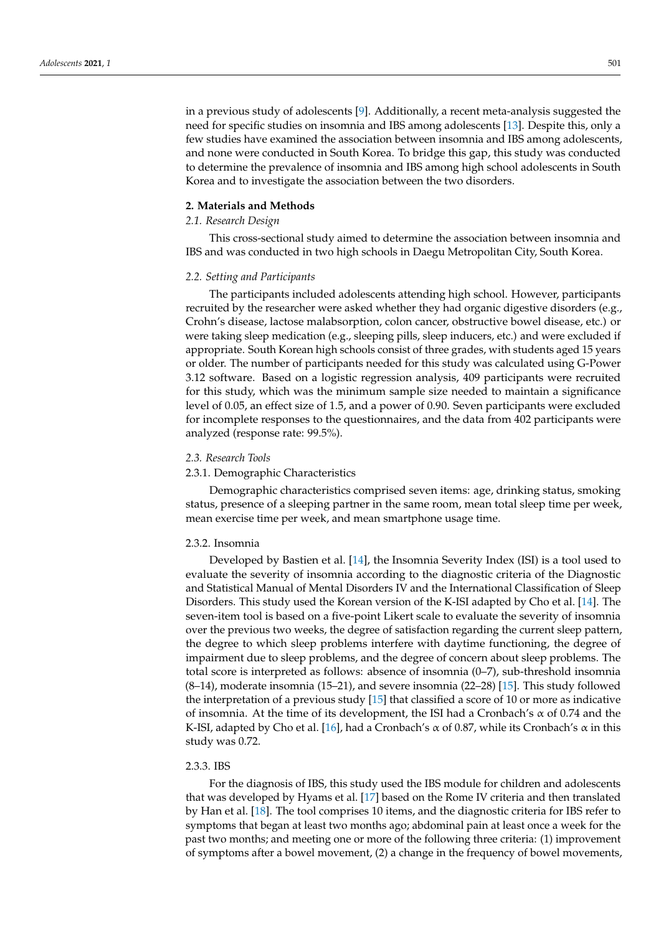in a previous study of adolescents [\[9\]](#page-6-6). Additionally, a recent meta-analysis suggested the need for specific studies on insomnia and IBS among adolescents [\[13\]](#page-6-10). Despite this, only a few studies have examined the association between insomnia and IBS among adolescents, and none were conducted in South Korea. To bridge this gap, this study was conducted to determine the prevalence of insomnia and IBS among high school adolescents in South Korea and to investigate the association between the two disorders.

#### **2. Materials and Methods**

#### *2.1. Research Design*

This cross-sectional study aimed to determine the association between insomnia and IBS and was conducted in two high schools in Daegu Metropolitan City, South Korea.

#### *2.2. Setting and Participants*

The participants included adolescents attending high school. However, participants recruited by the researcher were asked whether they had organic digestive disorders (e.g., Crohn's disease, lactose malabsorption, colon cancer, obstructive bowel disease, etc.) or were taking sleep medication (e.g., sleeping pills, sleep inducers, etc.) and were excluded if appropriate. South Korean high schools consist of three grades, with students aged 15 years or older. The number of participants needed for this study was calculated using G-Power 3.12 software. Based on a logistic regression analysis, 409 participants were recruited for this study, which was the minimum sample size needed to maintain a significance level of 0.05, an effect size of 1.5, and a power of 0.90. Seven participants were excluded for incomplete responses to the questionnaires, and the data from 402 participants were analyzed (response rate: 99.5%).

#### *2.3. Research Tools*

#### 2.3.1. Demographic Characteristics

Demographic characteristics comprised seven items: age, drinking status, smoking status, presence of a sleeping partner in the same room, mean total sleep time per week, mean exercise time per week, and mean smartphone usage time.

#### 2.3.2. Insomnia

Developed by Bastien et al. [\[14\]](#page-6-11), the Insomnia Severity Index (ISI) is a tool used to evaluate the severity of insomnia according to the diagnostic criteria of the Diagnostic and Statistical Manual of Mental Disorders IV and the International Classification of Sleep Disorders. This study used the Korean version of the K-ISI adapted by Cho et al. [\[14\]](#page-6-11). The seven-item tool is based on a five-point Likert scale to evaluate the severity of insomnia over the previous two weeks, the degree of satisfaction regarding the current sleep pattern, the degree to which sleep problems interfere with daytime functioning, the degree of impairment due to sleep problems, and the degree of concern about sleep problems. The total score is interpreted as follows: absence of insomnia (0–7), sub-threshold insomnia (8–14), moderate insomnia (15–21), and severe insomnia (22–28) [\[15\]](#page-6-12). This study followed the interpretation of a previous study [\[15\]](#page-6-12) that classified a score of 10 or more as indicative of insomnia. At the time of its development, the ISI had a Cronbach's  $\alpha$  of 0.74 and the K-ISI, adapted by Cho et al. [\[16\]](#page-6-13), had a Cronbach's  $\alpha$  of 0.87, while its Cronbach's  $\alpha$  in this study was 0.72.

#### 2.3.3. IBS

For the diagnosis of IBS, this study used the IBS module for children and adolescents that was developed by Hyams et al. [\[17\]](#page-6-14) based on the Rome IV criteria and then translated by Han et al. [\[18\]](#page-6-15). The tool comprises 10 items, and the diagnostic criteria for IBS refer to symptoms that began at least two months ago; abdominal pain at least once a week for the past two months; and meeting one or more of the following three criteria: (1) improvement of symptoms after a bowel movement, (2) a change in the frequency of bowel movements,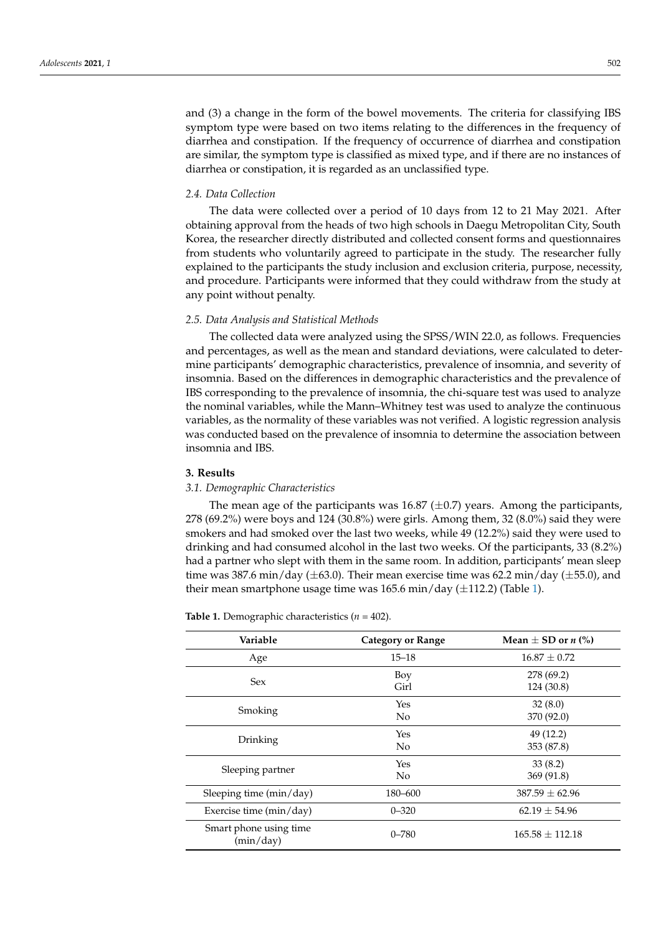and (3) a change in the form of the bowel movements. The criteria for classifying IBS symptom type were based on two items relating to the differences in the frequency of diarrhea and constipation. If the frequency of occurrence of diarrhea and constipation are similar, the symptom type is classified as mixed type, and if there are no instances of diarrhea or constipation, it is regarded as an unclassified type.

#### *2.4. Data Collection*

The data were collected over a period of 10 days from 12 to 21 May 2021. After obtaining approval from the heads of two high schools in Daegu Metropolitan City, South Korea, the researcher directly distributed and collected consent forms and questionnaires from students who voluntarily agreed to participate in the study. The researcher fully explained to the participants the study inclusion and exclusion criteria, purpose, necessity, and procedure. Participants were informed that they could withdraw from the study at any point without penalty.

#### *2.5. Data Analysis and Statistical Methods*

The collected data were analyzed using the SPSS/WIN 22.0, as follows. Frequencies and percentages, as well as the mean and standard deviations, were calculated to determine participants' demographic characteristics, prevalence of insomnia, and severity of insomnia. Based on the differences in demographic characteristics and the prevalence of IBS corresponding to the prevalence of insomnia, the chi-square test was used to analyze the nominal variables, while the Mann–Whitney test was used to analyze the continuous variables, as the normality of these variables was not verified. A logistic regression analysis was conducted based on the prevalence of insomnia to determine the association between insomnia and IBS.

# **3. Results**

#### *3.1. Demographic Characteristics*

The mean age of the participants was 16.87 ( $\pm$ 0.7) years. Among the participants, 278 (69.2%) were boys and 124 (30.8%) were girls. Among them, 32 (8.0%) said they were smokers and had smoked over the last two weeks, while 49 (12.2%) said they were used to drinking and had consumed alcohol in the last two weeks. Of the participants, 33 (8.2%) had a partner who slept with them in the same room. In addition, participants' mean sleep time was 387.6 min/day ( $\pm$ 63.0). Their mean exercise time was 62.2 min/day ( $\pm$ 55.0), and their mean smartphone usage time was  $165.6$  min/day ( $\pm$ 112.2) (Table [1\)](#page-2-0).

| Variable                            | <b>Category or Range</b> | Mean $\pm$ SD or <i>n</i> (%) |
|-------------------------------------|--------------------------|-------------------------------|
| Age                                 | $15 - 18$                | $16.87 \pm 0.72$              |
| <b>Sex</b>                          | Boy<br>Girl              | 278 (69.2)<br>124 (30.8)      |
| Smoking                             | Yes<br>N <sub>0</sub>    | 32(8.0)<br>370 (92.0)         |
| Drinking                            | Yes<br>N <sub>0</sub>    | 49 (12.2)<br>353 (87.8)       |
| Sleeping partner                    | Yes<br>N <sub>0</sub>    | 33(8.2)<br>369 (91.8)         |
| Sleeping time (min/day)             | 180-600                  | $387.59 + 62.96$              |
| Exercise time (min/day)             | $0 - 320$                | $62.19 \pm 54.96$             |
| Smart phone using time<br>(min/day) | $0 - 780$                | $165.58 \pm 112.18$           |

<span id="page-2-0"></span>**Table 1.** Demographic characteristics (*n* = 402).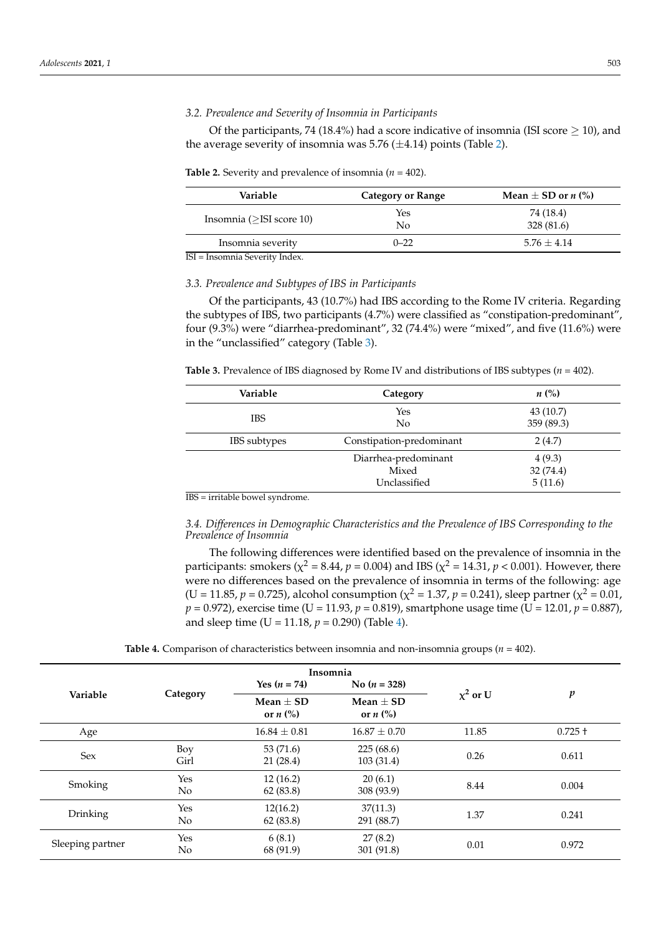# *3.2. Prevalence and Severity of Insomnia in Participants*

Of the participants, 74 (18.4%) had a score indicative of insomnia (ISI score  $>$  10), and the average severity of insomnia was 5.76  $(\pm 4.14)$  points (Table [2\)](#page-3-0).

<span id="page-3-0"></span>**Table 2.** Severity and prevalence of insomnia ( $n = 402$ ).

| Variable                        | Category or Range | Mean $\pm$ SD or <i>n</i> (%) |
|---------------------------------|-------------------|-------------------------------|
| Insomnia ( $>$ ISI score 10)    | Yes<br>No         | 74 (18.4)<br>328(81.6)        |
| Insomnia severity<br><b>TOT</b> | $0 - 22$          | $5.76 + 4.14$                 |

ISI = Insomnia Severity Index.

# *3.3. Prevalence and Subtypes of IBS in Participants*

Of the participants, 43 (10.7%) had IBS according to the Rome IV criteria. Regarding the subtypes of IBS, two participants (4.7%) were classified as "constipation-predominant", four (9.3%) were "diarrhea-predominant", 32 (74.4%) were "mixed", and five (11.6%) were in the "unclassified" category (Table [3\)](#page-3-1).

<span id="page-3-1"></span>**Table 3.** Prevalence of IBS diagnosed by Rome IV and distributions of IBS subtypes (*n* = 402).

| Variable     | Category                                      | $n\left(\%\right)$            |  |
|--------------|-----------------------------------------------|-------------------------------|--|
| <b>IBS</b>   | Yes<br>N <sub>0</sub>                         | 43(10.7)<br>359 (89.3)        |  |
| IBS subtypes | Constipation-predominant                      | 2(4.7)                        |  |
|              | Diarrhea-predominant<br>Mixed<br>Unclassified | 4(9.3)<br>32(74.4)<br>5(11.6) |  |

IBS = irritable bowel syndrome.

*3.4. Differences in Demographic Characteristics and the Prevalence of IBS Corresponding to the Prevalence of Insomnia*

The following differences were identified based on the prevalence of insomnia in the participants: smokers ( $\chi^2$  = 8.44,  $p$  = 0.004) and IBS ( $\chi^2$  = 14.31,  $p$  < 0.001). However, there were no differences based on the prevalence of insomnia in terms of the following: age (U = 11.85,  $p = 0.725$ ), alcohol consumption ( $\chi^2 = 1.37$ ,  $p = 0.241$ ), sleep partner ( $\chi^2 = 0.01$ , *p* = 0.972), exercise time (U = 11.93, *p* = 0.819), smartphone usage time (U = 12.01, *p* = 0.887), and sleep time (U = 11.18,  $p = 0.290$ ) (Table [4\)](#page-3-2).

|  | <b>Table 4.</b> Comparison of characteristics between insomnia and non-insomnia groups ( $n = 402$ ). |  |  |  |  |  |  |  |  |  |  |  |
|--|-------------------------------------------------------------------------------------------------------|--|--|--|--|--|--|--|--|--|--|--|
|--|-------------------------------------------------------------------------------------------------------|--|--|--|--|--|--|--|--|--|--|--|

<span id="page-3-2"></span>

|                  | Insomnia    |                                                    |                             |               |                  |  |  |  |
|------------------|-------------|----------------------------------------------------|-----------------------------|---------------|------------------|--|--|--|
|                  |             | Yes $(n = 74)$                                     | No $(n = 328)$              |               |                  |  |  |  |
| Variable         | Category    | Mean $\pm$ SD<br>or $n$ $\left(\frac{9}{6}\right)$ | Mean $\pm$ SD<br>or $n$ (%) | $\chi^2$ or U | $\boldsymbol{p}$ |  |  |  |
| Age              |             | $16.84 \pm 0.81$                                   | $16.87 \pm 0.70$            | 11.85         | $0.725 +$        |  |  |  |
| Sex              | Boy<br>Girl | 53 (71.6)<br>21(28.4)                              | 225(68.6)<br>103 (31.4)     | 0.26          | 0.611            |  |  |  |
| Smoking          | Yes<br>No   | 12(16.2)<br>62(83.8)                               | 20(6.1)<br>308 (93.9)       | 8.44          | 0.004            |  |  |  |
| Drinking         | Yes<br>No   | 12(16.2)<br>62(83.8)                               | 37(11.3)<br>291 (88.7)      | 1.37          | 0.241            |  |  |  |
| Sleeping partner | Yes<br>No   | 6(8.1)<br>68 (91.9)                                | 27(8.2)<br>301 (91.8)       | 0.01          | 0.972            |  |  |  |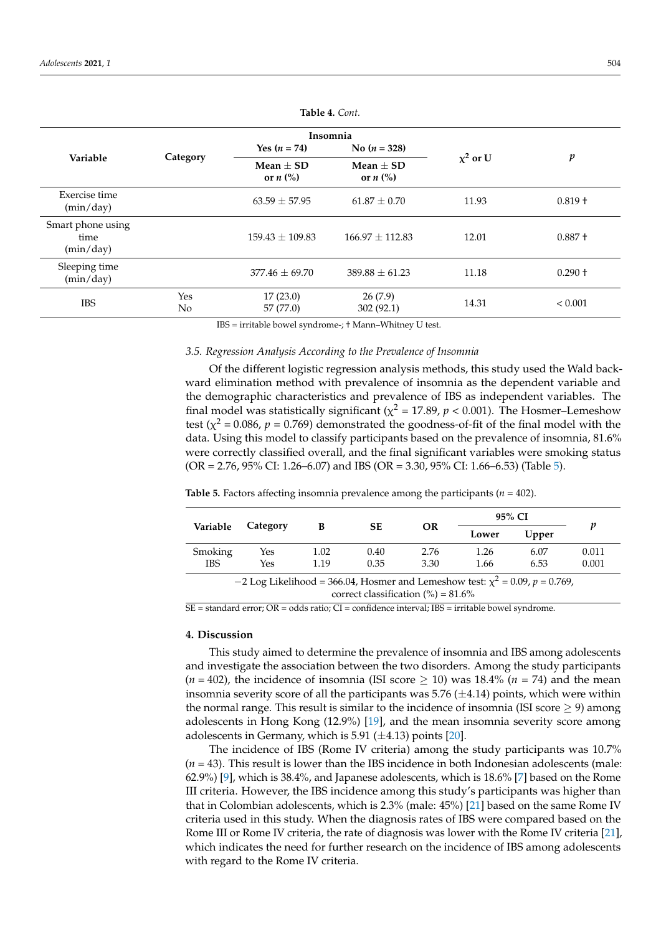| Insomnia                               |                              |                                                  |                                                  |               |                  |  |  |  |
|----------------------------------------|------------------------------|--------------------------------------------------|--------------------------------------------------|---------------|------------------|--|--|--|
| Variable                               |                              | Yes $(n = 74)$                                   | No $(n = 328)$                                   |               |                  |  |  |  |
|                                        | Category                     | $Mean + SD$<br>or $n$ $\left(\frac{9}{6}\right)$ | Mean $+$ SD<br>or $n$ $\left(\frac{9}{6}\right)$ | $\chi^2$ or U | $\boldsymbol{p}$ |  |  |  |
| Exercise time<br>(min/day)             |                              | $63.59 + 57.95$                                  | $61.87 + 0.70$                                   | 11.93         | $0.819 +$        |  |  |  |
| Smart phone using<br>time<br>(min/day) |                              | $159.43 + 109.83$                                | $166.97 + 112.83$                                | 12.01         | $0.887 +$        |  |  |  |
| Sleeping time<br>(min/day)             |                              | $377.46 + 69.70$                                 | $389.88 \pm 61.23$                               | 11.18         | $0.290 +$        |  |  |  |
| <b>IBS</b>                             | <b>Yes</b><br>N <sub>o</sub> | 17(23.0)<br>57 (77.0)                            | 26(7.9)<br>302(92.1)                             | 14.31         | ${}< 0.001$      |  |  |  |

**Table 4.** *Cont.*

IBS = irritable bowel syndrome-; † Mann–Whitney U test.

# *3.5. Regression Analysis According to the Prevalence of Insomnia*

Of the different logistic regression analysis methods, this study used the Wald backward elimination method with prevalence of insomnia as the dependent variable and the demographic characteristics and prevalence of IBS as independent variables. The final model was statistically significant ( $\chi^2$  = 17.89,  $p$  < 0.001). The Hosmer–Lemeshow test ( $\chi^2$  = 0.086,  $p$  = 0.769) demonstrated the goodness-of-fit of the final model with the data. Using this model to classify participants based on the prevalence of insomnia, 81.6% were correctly classified overall, and the final significant variables were smoking status  $(OR = 2.76, 95\% \text{ CI: } 1.26 - 6.07)$  and IBS  $(OR = 3.30, 95\% \text{ CI: } 1.66 - 6.53)$  (Table [5\)](#page-4-0).

|                                                                                                                                   |          |      |      |                 | 95% CI |       |       |
|-----------------------------------------------------------------------------------------------------------------------------------|----------|------|------|-----------------|--------|-------|-------|
| Variable                                                                                                                          | Category | В    |      | <b>SE</b><br>OR | Lower  | Upper | p     |
| Smoking                                                                                                                           | Yes      | 1.02 | 0.40 | 2.76            | 1.26   | 6.07  | 0.011 |
| <b>IBS</b>                                                                                                                        | Yes      | 1.19 | 0.35 | 3.30            | 1.66   | 6.53  | 0.001 |
| -2 Log Likelihood = 366.04, Hosmer and Lemeshow test: $\chi^2$ = 0.09, p = 0.769,<br>correct classification $\frac{6}{6}$ = 81.6% |          |      |      |                 |        |       |       |

<span id="page-4-0"></span>**Table 5.** Factors affecting insomnia prevalence among the participants ( $n = 402$ ).

 $\overline{SE}$  = standard error;  $\overline{OR}$  = odds ratio;  $\overline{CI}$  = confidence interval; IBS = irritable bowel syndrome.

#### **4. Discussion**

This study aimed to determine the prevalence of insomnia and IBS among adolescents and investigate the association between the two disorders. Among the study participants  $(n = 402)$ , the incidence of insomnia (ISI score  $\geq$  10) was 18.4%  $(n = 74)$  and the mean insomnia severity score of all the participants was  $5.76 \ (\pm 4.14)$  points, which were within the normal range. This result is similar to the incidence of insomnia (ISI score  $\geq$  9) among adolescents in Hong Kong (12.9%) [\[19\]](#page-6-16), and the mean insomnia severity score among adolescents in Germany, which is 5.91 ( $\pm$ 4.13) points [\[20\]](#page-6-17).

The incidence of IBS (Rome IV criteria) among the study participants was 10.7% (*n* = 43). This result is lower than the IBS incidence in both Indonesian adolescents (male: 62.9%) [\[9\]](#page-6-6), which is 38.4%, and Japanese adolescents, which is 18.6% [\[7\]](#page-6-18) based on the Rome III criteria. However, the IBS incidence among this study's participants was higher than that in Colombian adolescents, which is 2.3% (male: 45%) [\[21\]](#page-6-19) based on the same Rome IV criteria used in this study. When the diagnosis rates of IBS were compared based on the Rome III or Rome IV criteria, the rate of diagnosis was lower with the Rome IV criteria [\[21\]](#page-6-19), which indicates the need for further research on the incidence of IBS among adolescents with regard to the Rome IV criteria.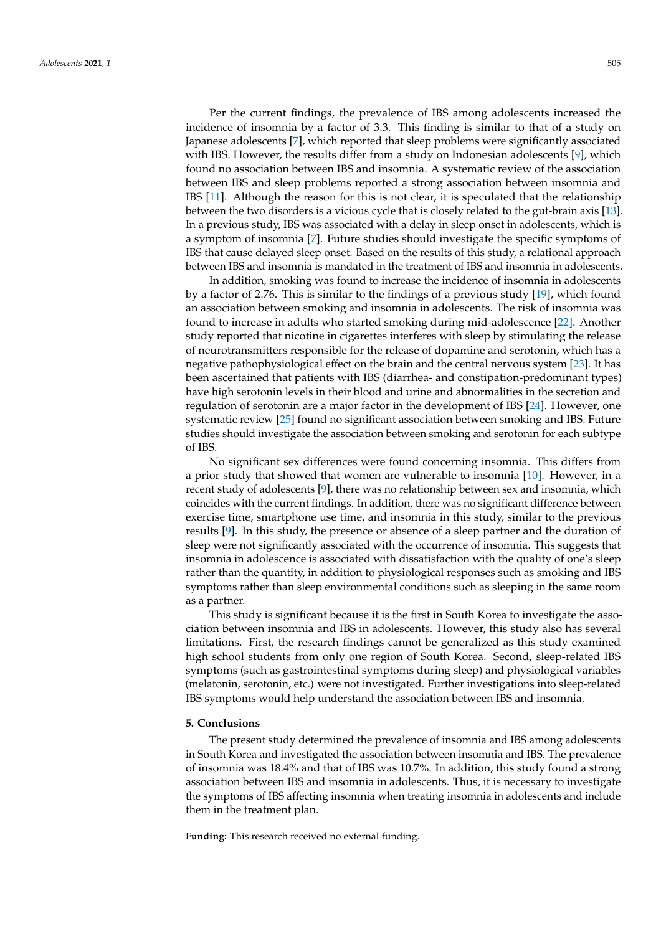Per the current findings, the prevalence of IBS among adolescents increased the incidence of insomnia by a factor of 3.3. This finding is similar to that of a study on Japanese adolescents [\[7\]](#page-6-18), which reported that sleep problems were significantly associated with IBS. However, the results differ from a study on Indonesian adolescents [\[9\]](#page-6-6), which found no association between IBS and insomnia. A systematic review of the association between IBS and sleep problems reported a strong association between insomnia and IBS [\[11\]](#page-6-8). Although the reason for this is not clear, it is speculated that the relationship between the two disorders is a vicious cycle that is closely related to the gut-brain axis [\[13\]](#page-6-10). In a previous study, IBS was associated with a delay in sleep onset in adolescents, which is a symptom of insomnia [\[7\]](#page-6-18). Future studies should investigate the specific symptoms of IBS that cause delayed sleep onset. Based on the results of this study, a relational approach between IBS and insomnia is mandated in the treatment of IBS and insomnia in adolescents.

In addition, smoking was found to increase the incidence of insomnia in adolescents by a factor of 2.76. This is similar to the findings of a previous study [\[19\]](#page-6-16), which found an association between smoking and insomnia in adolescents. The risk of insomnia was found to increase in adults who started smoking during mid-adolescence [\[22\]](#page-6-20). Another study reported that nicotine in cigarettes interferes with sleep by stimulating the release of neurotransmitters responsible for the release of dopamine and serotonin, which has a negative pathophysiological effect on the brain and the central nervous system [\[23\]](#page-7-0). It has been ascertained that patients with IBS (diarrhea- and constipation-predominant types) have high serotonin levels in their blood and urine and abnormalities in the secretion and regulation of serotonin are a major factor in the development of IBS [\[24\]](#page-7-1). However, one systematic review [\[25\]](#page-7-2) found no significant association between smoking and IBS. Future studies should investigate the association between smoking and serotonin for each subtype of IBS.

No significant sex differences were found concerning insomnia. This differs from a prior study that showed that women are vulnerable to insomnia [\[10\]](#page-6-7). However, in a recent study of adolescents [\[9\]](#page-6-6), there was no relationship between sex and insomnia, which coincides with the current findings. In addition, there was no significant difference between exercise time, smartphone use time, and insomnia in this study, similar to the previous results [\[9\]](#page-6-6). In this study, the presence or absence of a sleep partner and the duration of sleep were not significantly associated with the occurrence of insomnia. This suggests that insomnia in adolescence is associated with dissatisfaction with the quality of one's sleep rather than the quantity, in addition to physiological responses such as smoking and IBS symptoms rather than sleep environmental conditions such as sleeping in the same room as a partner.

This study is significant because it is the first in South Korea to investigate the association between insomnia and IBS in adolescents. However, this study also has several limitations. First, the research findings cannot be generalized as this study examined high school students from only one region of South Korea. Second, sleep-related IBS symptoms (such as gastrointestinal symptoms during sleep) and physiological variables (melatonin, serotonin, etc.) were not investigated. Further investigations into sleep-related IBS symptoms would help understand the association between IBS and insomnia.

# **5. Conclusions**

The present study determined the prevalence of insomnia and IBS among adolescents in South Korea and investigated the association between insomnia and IBS. The prevalence of insomnia was 18.4% and that of IBS was 10.7%. In addition, this study found a strong association between IBS and insomnia in adolescents. Thus, it is necessary to investigate the symptoms of IBS affecting insomnia when treating insomnia in adolescents and include them in the treatment plan.

**Funding:** This research received no external funding.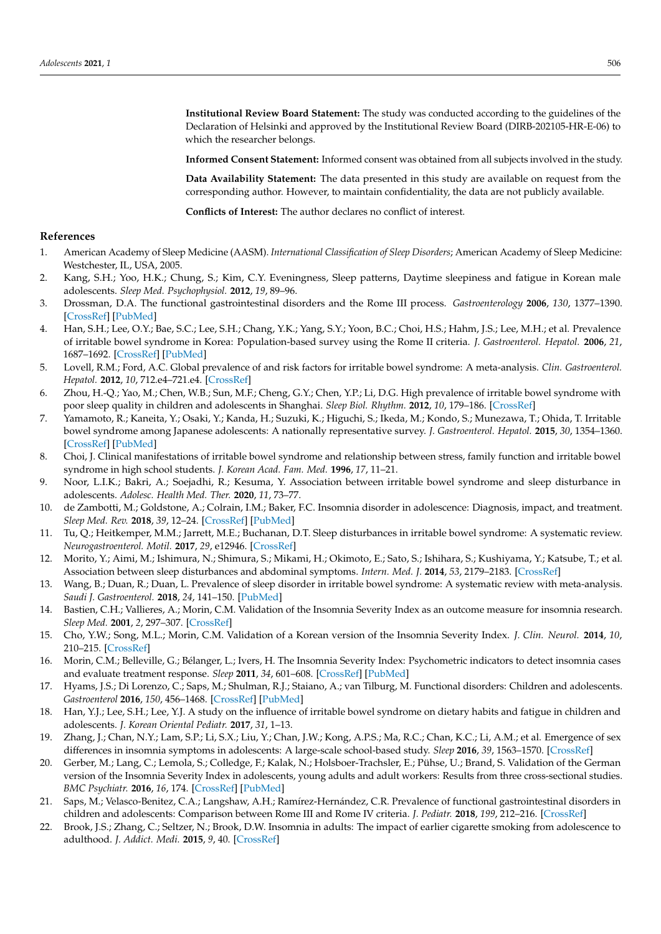**Institutional Review Board Statement:** The study was conducted according to the guidelines of the Declaration of Helsinki and approved by the Institutional Review Board (DIRB-202105-HR-E-06) to which the researcher belongs.

**Informed Consent Statement:** Informed consent was obtained from all subjects involved in the study.

**Data Availability Statement:** The data presented in this study are available on request from the corresponding author. However, to maintain confidentiality, the data are not publicly available.

**Conflicts of Interest:** The author declares no conflict of interest.

# **References**

- <span id="page-6-0"></span>1. American Academy of Sleep Medicine (AASM). *International Classification of Sleep Disorders*; American Academy of Sleep Medicine: Westchester, IL, USA, 2005.
- <span id="page-6-1"></span>2. Kang, S.H.; Yoo, H.K.; Chung, S.; Kim, C.Y. Eveningness, Sleep patterns, Daytime sleepiness and fatigue in Korean male adolescents. *Sleep Med. Psychophysiol.* **2012**, *19*, 89–96.
- <span id="page-6-2"></span>3. Drossman, D.A. The functional gastrointestinal disorders and the Rome III process. *Gastroenterology* **2006**, *130*, 1377–1390. [\[CrossRef\]](http://doi.org/10.1053/j.gastro.2006.03.008) [\[PubMed\]](http://www.ncbi.nlm.nih.gov/pubmed/16678553)
- <span id="page-6-3"></span>4. Han, S.H.; Lee, O.Y.; Bae, S.C.; Lee, S.H.; Chang, Y.K.; Yang, S.Y.; Yoon, B.C.; Choi, H.S.; Hahm, J.S.; Lee, M.H.; et al. Prevalence of irritable bowel syndrome in Korea: Population-based survey using the Rome II criteria. *J. Gastroenterol. Hepatol.* **2006**, *21*, 1687–1692. [\[CrossRef\]](http://doi.org/10.1111/j.1440-1746.2006.04269.x) [\[PubMed\]](http://www.ncbi.nlm.nih.gov/pubmed/16984590)
- <span id="page-6-4"></span>5. Lovell, R.M.; Ford, A.C. Global prevalence of and risk factors for irritable bowel syndrome: A meta-analysis. *Clin. Gastroenterol. Hepatol.* **2012**, *10*, 712.e4–721.e4. [\[CrossRef\]](http://doi.org/10.1016/j.cgh.2012.02.029)
- <span id="page-6-5"></span>6. Zhou, H.-Q.; Yao, M.; Chen, W.B.; Sun, M.F.; Cheng, G.Y.; Chen, Y.P.; Li, D.G. High prevalence of irritable bowel syndrome with poor sleep quality in children and adolescents in Shanghai. *Sleep Biol. Rhythm.* **2012**, *10*, 179–186. [\[CrossRef\]](http://doi.org/10.1111/j.1479-8425.2012.00535.x)
- <span id="page-6-18"></span>7. Yamamoto, R.; Kaneita, Y.; Osaki, Y.; Kanda, H.; Suzuki, K.; Higuchi, S.; Ikeda, M.; Kondo, S.; Munezawa, T.; Ohida, T. Irritable bowel syndrome among Japanese adolescents: A nationally representative survey. *J. Gastroenterol. Hepatol.* **2015**, *30*, 1354–1360. [\[CrossRef\]](http://doi.org/10.1111/jgh.12974) [\[PubMed\]](http://www.ncbi.nlm.nih.gov/pubmed/25868086)
- 8. Choi, J. Clinical manifestations of irritable bowel syndrome and relationship between stress, family function and irritable bowel syndrome in high school students. *J. Korean Acad. Fam. Med.* **1996**, *17*, 11–21.
- <span id="page-6-6"></span>9. Noor, L.I.K.; Bakri, A.; Soejadhi, R.; Kesuma, Y. Association between irritable bowel syndrome and sleep disturbance in adolescents. *Adolesc. Health Med. Ther.* **2020**, *11*, 73–77.
- <span id="page-6-7"></span>10. de Zambotti, M.; Goldstone, A.; Colrain, I.M.; Baker, F.C. Insomnia disorder in adolescence: Diagnosis, impact, and treatment. *Sleep Med. Rev.* **2018**, *39*, 12–24. [\[CrossRef\]](http://doi.org/10.1016/j.smrv.2017.06.009) [\[PubMed\]](http://www.ncbi.nlm.nih.gov/pubmed/28974427)
- <span id="page-6-8"></span>11. Tu, Q.; Heitkemper, M.M.; Jarrett, M.E.; Buchanan, D.T. Sleep disturbances in irritable bowel syndrome: A systematic review. *Neurogastroenterol. Motil.* **2017**, *29*, e12946. [\[CrossRef\]](http://doi.org/10.1111/nmo.12946)
- <span id="page-6-9"></span>12. Morito, Y.; Aimi, M.; Ishimura, N.; Shimura, S.; Mikami, H.; Okimoto, E.; Sato, S.; Ishihara, S.; Kushiyama, Y.; Katsube, T.; et al. Association between sleep disturbances and abdominal symptoms. *Intern. Med. J.* **2014**, *53*, 2179–2183. [\[CrossRef\]](http://doi.org/10.2169/internalmedicine.53.2591)
- <span id="page-6-10"></span>13. Wang, B.; Duan, R.; Duan, L. Prevalence of sleep disorder in irritable bowel syndrome: A systematic review with meta-analysis. *Saudi J. Gastroenterol.* **2018**, *24*, 141–150. [\[PubMed\]](http://www.ncbi.nlm.nih.gov/pubmed/29652034)
- <span id="page-6-11"></span>14. Bastien, C.H.; Vallieres, A.; Morin, C.M. Validation of the Insomnia Severity Index as an outcome measure for insomnia research. *Sleep Med.* **2001**, *2*, 297–307. [\[CrossRef\]](http://doi.org/10.1016/S1389-9457(00)00065-4)
- <span id="page-6-12"></span>15. Cho, Y.W.; Song, M.L.; Morin, C.M. Validation of a Korean version of the Insomnia Severity Index. *J. Clin. Neurol.* **2014**, *10*, 210–215. [\[CrossRef\]](http://doi.org/10.3988/jcn.2014.10.3.210)
- <span id="page-6-13"></span>16. Morin, C.M.; Belleville, G.; Bélanger, L.; Ivers, H. The Insomnia Severity Index: Psychometric indicators to detect insomnia cases and evaluate treatment response. *Sleep* **2011**, *34*, 601–608. [\[CrossRef\]](http://doi.org/10.1093/sleep/34.5.601) [\[PubMed\]](http://www.ncbi.nlm.nih.gov/pubmed/21532953)
- <span id="page-6-14"></span>17. Hyams, J.S.; Di Lorenzo, C.; Saps, M.; Shulman, R.J.; Staiano, A.; van Tilburg, M. Functional disorders: Children and adolescents. *Gastroenterol* **2016**, *150*, 456–1468. [\[CrossRef\]](http://doi.org/10.1053/j.gastro.2016.02.015) [\[PubMed\]](http://www.ncbi.nlm.nih.gov/pubmed/27144632)
- <span id="page-6-15"></span>18. Han, Y.J.; Lee, S.H.; Lee, Y.J. A study on the influence of irritable bowel syndrome on dietary habits and fatigue in children and adolescents. *J. Korean Oriental Pediatr.* **2017**, *31*, 1–13.
- <span id="page-6-16"></span>19. Zhang, J.; Chan, N.Y.; Lam, S.P.; Li, S.X.; Liu, Y.; Chan, J.W.; Kong, A.P.S.; Ma, R.C.; Chan, K.C.; Li, A.M.; et al. Emergence of sex differences in insomnia symptoms in adolescents: A large-scale school-based study. *Sleep* **2016**, *39*, 1563–1570. [\[CrossRef\]](http://doi.org/10.5665/sleep.6022)
- <span id="page-6-17"></span>20. Gerber, M.; Lang, C.; Lemola, S.; Colledge, F.; Kalak, N.; Holsboer-Trachsler, E.; Pühse, U.; Brand, S. Validation of the German version of the Insomnia Severity Index in adolescents, young adults and adult workers: Results from three cross-sectional studies. *BMC Psychiatr.* **2016**, *16*, 174. [\[CrossRef\]](http://doi.org/10.1186/s12888-016-0876-8) [\[PubMed\]](http://www.ncbi.nlm.nih.gov/pubmed/27245844)
- <span id="page-6-19"></span>21. Saps, M.; Velasco-Benitez, C.A.; Langshaw, A.H.; Ramírez-Hernández, C.R. Prevalence of functional gastrointestinal disorders in children and adolescents: Comparison between Rome III and Rome IV criteria. *J. Pediatr.* **2018**, *199*, 212–216. [\[CrossRef\]](http://doi.org/10.1016/j.jpeds.2018.03.037)
- <span id="page-6-20"></span>22. Brook, J.S.; Zhang, C.; Seltzer, N.; Brook, D.W. Insomnia in adults: The impact of earlier cigarette smoking from adolescence to adulthood. *J. Addict. Medi.* **2015**, *9*, 40. [\[CrossRef\]](http://doi.org/10.1097/ADM.0000000000000083)